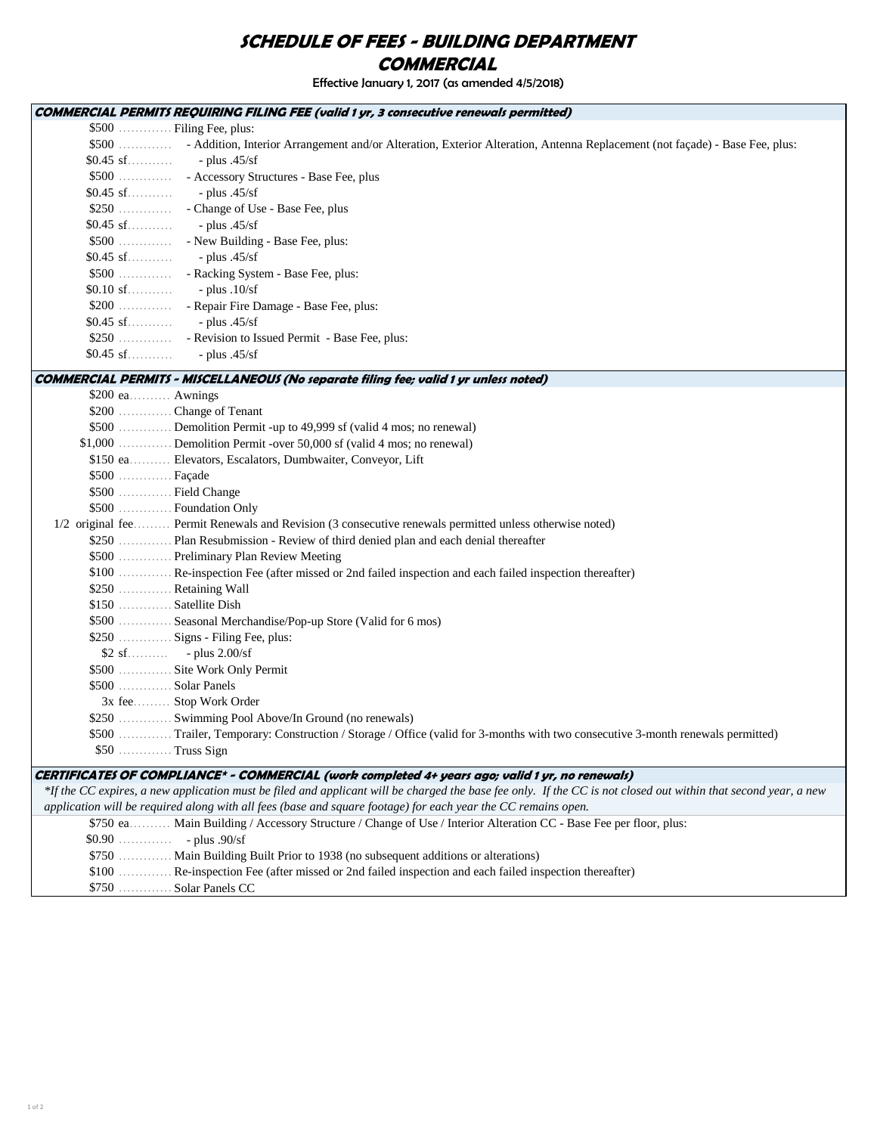## SCHEDULE OF FEES - BUILDING DEPARTMENT **COMMERCIAL**

Effective January 1, 2017 (as amended 4/5/2018)

|                    | <b>COMMERCIAL PERMITS REQUIRING FILING FEE (valid 1 yr, 3 consecutive renewals permitted)</b>                                                                                                                                                                                    |
|--------------------|----------------------------------------------------------------------------------------------------------------------------------------------------------------------------------------------------------------------------------------------------------------------------------|
|                    | \$500  Filing Fee, plus:                                                                                                                                                                                                                                                         |
|                    | \$500  - Addition, Interior Arrangement and/or Alteration, Exterior Alteration, Antenna Replacement (not façade) - Base Fee, plus:                                                                                                                                               |
| $$0.45 \text{ sf}$ | - plus $.45/sf$                                                                                                                                                                                                                                                                  |
|                    |                                                                                                                                                                                                                                                                                  |
|                    |                                                                                                                                                                                                                                                                                  |
|                    |                                                                                                                                                                                                                                                                                  |
|                    |                                                                                                                                                                                                                                                                                  |
|                    |                                                                                                                                                                                                                                                                                  |
| \$0.45 sf          | - plus $.45/sf$                                                                                                                                                                                                                                                                  |
|                    | \$500  - Racking System - Base Fee, plus:                                                                                                                                                                                                                                        |
| $$0.10$ sf         | $-$ plus $.10/sf$                                                                                                                                                                                                                                                                |
|                    | \$200  - Repair Fire Damage - Base Fee, plus:                                                                                                                                                                                                                                    |
| \$0.45 sf          | $-$ plus $.45/sf$                                                                                                                                                                                                                                                                |
|                    | \$250  - Revision to Issued Permit - Base Fee, plus:                                                                                                                                                                                                                             |
|                    |                                                                                                                                                                                                                                                                                  |
|                    | COMMERCIAL PERMITS - MISCELLANEOUS (No separate filing fee; valid 1 yr unless noted)                                                                                                                                                                                             |
| \$200 ea Awnings   |                                                                                                                                                                                                                                                                                  |
|                    | \$200  Change of Tenant                                                                                                                                                                                                                                                          |
|                    | \$500  Demolition Permit -up to 49,999 sf (valid 4 mos; no renewal)                                                                                                                                                                                                              |
|                    | \$1,000  Demolition Permit -over 50,000 sf (valid 4 mos; no renewal)                                                                                                                                                                                                             |
|                    | \$150 ea Elevators, Escalators, Dumbwaiter, Conveyor, Lift                                                                                                                                                                                                                       |
| $$500$ Façade      |                                                                                                                                                                                                                                                                                  |
|                    | \$500  Field Change                                                                                                                                                                                                                                                              |
|                    | \$500 S500 Foundation Only                                                                                                                                                                                                                                                       |
|                    | 1/2 original fee Permit Renewals and Revision (3 consecutive renewals permitted unless otherwise noted)                                                                                                                                                                          |
|                    | \$250  Plan Resubmission - Review of third denied plan and each denial thereafter                                                                                                                                                                                                |
|                    | \$500  Preliminary Plan Review Meeting                                                                                                                                                                                                                                           |
|                    | \$100  Re-inspection Fee (after missed or 2nd failed inspection and each failed inspection thereafter)                                                                                                                                                                           |
|                    | \$250  Retaining Wall                                                                                                                                                                                                                                                            |
|                    | \$150  Satellite Dish                                                                                                                                                                                                                                                            |
|                    | \$500  Seasonal Merchandise/Pop-up Store (Valid for 6 mos)                                                                                                                                                                                                                       |
|                    | \$250  Signs - Filing Fee, plus:                                                                                                                                                                                                                                                 |
|                    | $$2 \text{ sf.} \dots \dots \dots \quad - \text{plus } 2.00/\text{sf}$                                                                                                                                                                                                           |
|                    | \$500  Site Work Only Permit                                                                                                                                                                                                                                                     |
|                    | \$500  Solar Panels                                                                                                                                                                                                                                                              |
|                    | 3x fee Stop Work Order                                                                                                                                                                                                                                                           |
|                    | \$250  Swimming Pool Above/In Ground (no renewals)                                                                                                                                                                                                                               |
|                    | \$500  Trailer, Temporary: Construction / Storage / Office (valid for 3-months with two consecutive 3-month renewals permitted)                                                                                                                                                  |
|                    | \$50  Truss Sign                                                                                                                                                                                                                                                                 |
|                    |                                                                                                                                                                                                                                                                                  |
|                    | CERTIFICATES OF COMPLIANCE* - COMMERCIAL (work completed 4+ years ago; valid 1 yr, no renewals)                                                                                                                                                                                  |
|                    | *If the CC expires, a new application must be filed and applicant will be charged the base fee only. If the CC is not closed out within that second year, a new<br>application will be required along with all fees (base and square footage) for each year the CC remains open. |
|                    | \$750 ea Main Building / Accessory Structure / Change of Use / Interior Alteration CC - Base Fee per floor, plus:                                                                                                                                                                |
|                    | $$0.90$ - plus .90/sf                                                                                                                                                                                                                                                            |
|                    | \$750  Main Building Built Prior to 1938 (no subsequent additions or alterations)                                                                                                                                                                                                |
|                    | \$100  Re-inspection Fee (after missed or 2nd failed inspection and each failed inspection thereafter)                                                                                                                                                                           |
|                    |                                                                                                                                                                                                                                                                                  |

\$750 …………….. Solar Panels CC